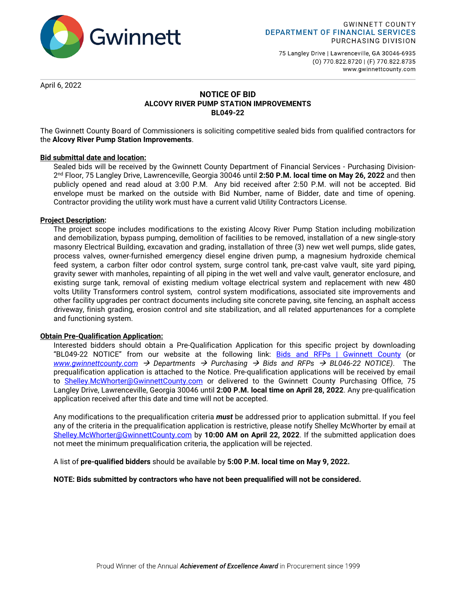

75 Langley Drive | Lawrenceville, GA 30046-6935 (0) 770.822.8720 | (F) 770.822.8735 www.gwinnettcounty.com

April 6, 2022

## **NOTICE OF BID ALCOVY RIVER PUMP STATION IMPROVEMENTS BL049-22**

The Gwinnett County Board of Commissioners is soliciting competitive sealed bids from qualified contractors for the **Alcovy River Pump Station Improvements**.

## **Bid submittal date and location:**

Sealed bids will be received by the Gwinnett County Department of Financial Services - Purchasing Division-2nd Floor, 75 Langley Drive, Lawrenceville, Georgia 30046 until **2:50 P.M. local time on May 26, 2022** and then publicly opened and read aloud at 3:00 P.M. Any bid received after 2:50 P.M. will not be accepted. Bid envelope must be marked on the outside with Bid Number, name of Bidder, date and time of opening. Contractor providing the utility work must have a current valid Utility Contractors License.

## **Project Description:**

The project scope includes modifications to the existing Alcovy River Pump Station including mobilization and demobilization, bypass pumping, demolition of facilities to be removed, installation of a new single-story masonry Electrical Building, excavation and grading, installation of three (3) new wet well pumps, slide gates, process valves, owner-furnished emergency diesel engine driven pump, a magnesium hydroxide chemical feed system, a carbon filter odor control system, surge control tank, pre-cast valve vault, site yard piping, gravity sewer with manholes, repainting of all piping in the wet well and valve vault, generator enclosure, and existing surge tank, removal of existing medium voltage electrical system and replacement with new 480 volts Utility Transformers control system, control system modifications, associated site improvements and other facility upgrades per contract documents including site concrete paving, site fencing, an asphalt access driveway, finish grading, erosion control and site stabilization, and all related appurtenances for a complete and functioning system.

## **Obtain Pre-Qualification Application:**

Interested bidders should obtain a Pre-Qualification Application for this specific project by downloading "BL049-22 NOTICE" from our website at the following link: [Bids and RFPs | Gwinnett County](https://www.gwinnettcounty.com/web/gwinnett/departments/financialservices/purchasing/bidsandrfps) (or *[www.gwinnettcounty.com](http://www.gwinnettcounty.com/) Departments Purchasing Bids and RFPs BL046-22 NOTICE)*. The prequalification application is attached to the Notice. Pre-qualification applications will be received by email to [Shelley.McWhorter@GwinnettCounty.com](mailto:Shelley.McWhorter@GwinnettCounty.com) or delivered to the Gwinnett County Purchasing Office, 75 Langley Drive, Lawrenceville, Georgia 30046 until **2:00 P.M. local time on April 28, 2022**. Any pre-qualification application received after this date and time will not be accepted.

Any modifications to the prequalification criteria *must* be addressed prior to application submittal. If you feel any of the criteria in the prequalification application is restrictive, please notify Shelley McWhorter by email at [Shelley.McWhorter@GwinnettCounty.com](mailto:Shelley.McWhorter@GwinnettCounty.com) by **10:00 AM on April 22, 2022**. If the submitted application does not meet the minimum prequalification criteria, the application will be rejected.

A list of **pre-qualified bidders** should be available by **5:00 P.M. local time on May 9, 2022.** 

## **NOTE: Bids submitted by contractors who have not been prequalified will not be considered.**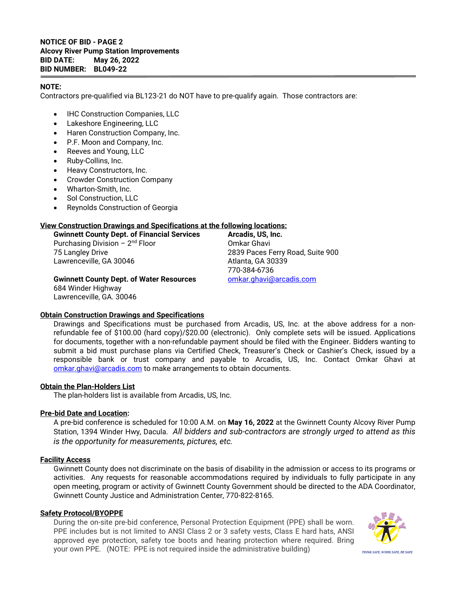## **NOTICE OF BID - PAGE 2 Alcovy River Pump Station Improvements BID DATE: May 26, 2022 BID NUMBER: BL049-22**

## **NOTE:**

Contractors pre-qualified via BL123-21 do NOT have to pre-qualify again. Those contractors are:

- IHC Construction Companies, LLC
- Lakeshore Engineering, LLC
- Haren Construction Company, Inc.
- P.F. Moon and Company, Inc.
- Reeves and Young, LLC
- Ruby-Collins, Inc.
- Heavy Constructors, Inc.
- Crowder Construction Company
- Wharton-Smith, Inc.
- Sol Construction, LLC
- Reynolds Construction of Georgia

## **View Construction Drawings and Specifications at the following locations:**

**Gwinnett County Dept. of Financial Services Arcadis, US, Inc.**<br>Purchasing Division – 2<sup>nd</sup> Floor **Commens** Omkar Ghavi Purchasing Division –  $2<sup>nd</sup>$  Floor 75 Langley Drive 2839 Paces Ferry Road, Suite 900 Lawrenceville, GA 30046 Atlanta, GA 30339

770-384-6736<br>omkar.ghavi@arcadis.com

**Gwinnett County Dept. of Water Resources** 684 Winder Highway Lawrenceville, GA. 30046

## **Obtain Construction Drawings and Specifications**

Drawings and Specifications must be purchased from Arcadis, US, Inc. at the above address for a nonrefundable fee of \$100.00 (hard copy)/\$20.00 (electronic). Only complete sets will be issued. Applications for documents, together with a non-refundable payment should be filed with the Engineer. Bidders wanting to submit a bid must purchase plans via Certified Check, Treasurer's Check or Cashier's Check, issued by a responsible bank or trust company and payable to Arcadis, US, Inc. Contact Omkar Ghavi at [omkar.ghavi@arcadis.com](mailto:omkar.ghavi@arcadis.com) to make arrangements to obtain documents.

## **Obtain the Plan-Holders List**

The plan-holders list is available from Arcadis, US, Inc.

## **Pre-bid Date and Location:**

A pre-bid conference is scheduled for 10:00 A.M. on **May 16, 2022** at the Gwinnett County Alcovy River Pump Station, 1394 Winder Hwy, Dacula. *All bidders and sub-contractors are strongly urged to attend as this is the opportunity for measurements, pictures, etc.*

## **Facility Access**

Gwinnett County does not discriminate on the basis of disability in the admission or access to its programs or activities. Any requests for reasonable accommodations required by individuals to fully participate in any open meeting, program or activity of Gwinnett County Government should be directed to the ADA Coordinator, Gwinnett County Justice and Administration Center, 770-822-8165.

## **Safety Protocol/BYOPPE**

During the on-site pre-bid conference, Personal Protection Equipment (PPE) shall be worn. PPE includes but is not limited to ANSI Class 2 or 3 safety vests, Class E hard hats, ANSI approved eye protection, safety toe boots and hearing protection where required. Bring your own PPE. (NOTE: PPE is not required inside the administrative building)

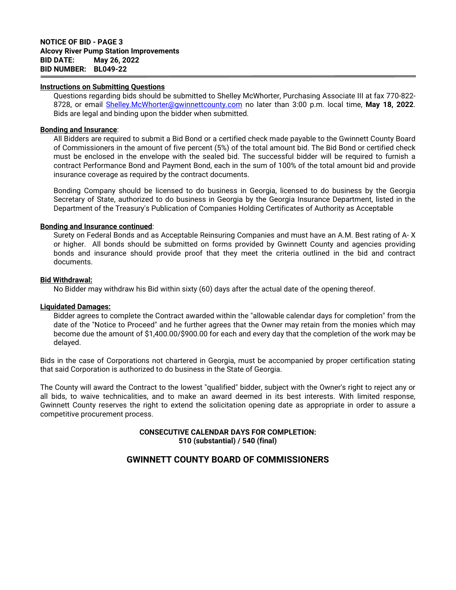#### **Instructions on Submitting Questions**

Questions regarding bids should be submitted to Shelley McWhorter, Purchasing Associate III at fax 770-822- 8728, or email [Shelley.McWhorter@gwinnettcounty.com](mailto:Shelley.McWhorter@gwinnettcounty.com) no later than 3:00 p.m. local time, **May 18, 2022**. Bids are legal and binding upon the bidder when submitted.

#### **Bonding and Insurance**:

All Bidders are required to submit a Bid Bond or a certified check made payable to the Gwinnett County Board of Commissioners in the amount of five percent (5%) of the total amount bid. The Bid Bond or certified check must be enclosed in the envelope with the sealed bid. The successful bidder will be required to furnish a contract Performance Bond and Payment Bond, each in the sum of 100% of the total amount bid and provide insurance coverage as required by the contract documents.

Bonding Company should be licensed to do business in Georgia, licensed to do business by the Georgia Secretary of State, authorized to do business in Georgia by the Georgia Insurance Department, listed in the Department of the Treasury's Publication of Companies Holding Certificates of Authority as Acceptable

#### **Bonding and Insurance continued**:

Surety on Federal Bonds and as Acceptable Reinsuring Companies and must have an A.M. Best rating of A- X or higher. All bonds should be submitted on forms provided by Gwinnett County and agencies providing bonds and insurance should provide proof that they meet the criteria outlined in the bid and contract documents.

#### **Bid Withdrawal:**

No Bidder may withdraw his Bid within sixty (60) days after the actual date of the opening thereof.

#### **Liquidated Damages:**

Bidder agrees to complete the Contract awarded within the "allowable calendar days for completion" from the date of the "Notice to Proceed" and he further agrees that the Owner may retain from the monies which may become due the amount of \$1,400.00/\$900.00 for each and every day that the completion of the work may be delayed.

Bids in the case of Corporations not chartered in Georgia, must be accompanied by proper certification stating that said Corporation is authorized to do business in the State of Georgia.

The County will award the Contract to the lowest "qualified" bidder, subject with the Owner's right to reject any or all bids, to waive technicalities, and to make an award deemed in its best interests. With limited response, Gwinnett County reserves the right to extend the solicitation opening date as appropriate in order to assure a competitive procurement process.

## **CONSECUTIVE CALENDAR DAYS FOR COMPLETION: 510 (substantial) / 540 (final)**

# **GWINNETT COUNTY BOARD OF COMMISSIONERS**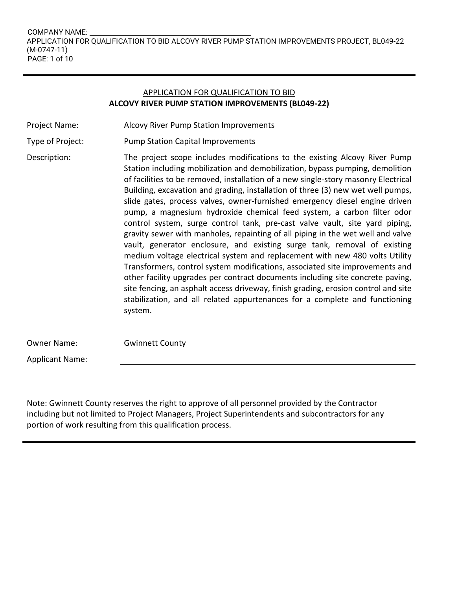## APPLICATION FOR QUALIFICATION TO BID **ALCOVY RIVER PUMP STATION IMPROVEMENTS (BL049-22)**

- Project Name: Alcovy River Pump Station Improvements
- Type of Project: Pump Station Capital Improvements
- Description: The project scope includes modifications to the existing Alcovy River Pump Station including mobilization and demobilization, bypass pumping, demolition of facilities to be removed, installation of a new single-story masonry Electrical Building, excavation and grading, installation of three (3) new wet well pumps, slide gates, process valves, owner-furnished emergency diesel engine driven pump, a magnesium hydroxide chemical feed system, a carbon filter odor control system, surge control tank, pre-cast valve vault, site yard piping, gravity sewer with manholes, repainting of all piping in the wet well and valve vault, generator enclosure, and existing surge tank, removal of existing medium voltage electrical system and replacement with new 480 volts Utility Transformers, control system modifications, associated site improvements and other facility upgrades per contract documents including site concrete paving, site fencing, an asphalt access driveway, finish grading, erosion control and site stabilization, and all related appurtenances for a complete and functioning system.

Owner Name: Gwinnett County

Applicant Name:

Note: Gwinnett County reserves the right to approve of all personnel provided by the Contractor including but not limited to Project Managers, Project Superintendents and subcontractors for any portion of work resulting from this qualification process.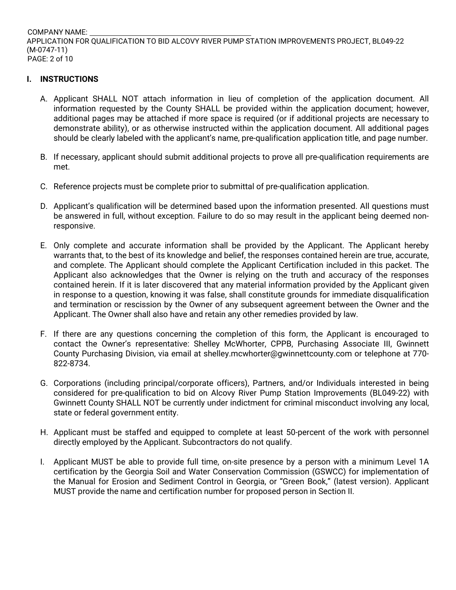COMPANY NAME: APPLICATION FOR QUALIFICATION TO BID ALCOVY RIVER PUMP STATION IMPROVEMENTS PROJECT, BL049-22 (M-0747-11) PAGE: 2 of 10

# **I. INSTRUCTIONS**

- A. Applicant SHALL NOT attach information in lieu of completion of the application document. All information requested by the County SHALL be provided within the application document; however, additional pages may be attached if more space is required (or if additional projects are necessary to demonstrate ability), or as otherwise instructed within the application document. All additional pages should be clearly labeled with the applicant's name, pre-qualification application title, and page number.
- B. If necessary, applicant should submit additional projects to prove all pre-qualification requirements are met.
- C. Reference projects must be complete prior to submittal of pre-qualification application.
- D. Applicant's qualification will be determined based upon the information presented. All questions must be answered in full, without exception. Failure to do so may result in the applicant being deemed nonresponsive.
- E. Only complete and accurate information shall be provided by the Applicant. The Applicant hereby warrants that, to the best of its knowledge and belief, the responses contained herein are true, accurate, and complete. The Applicant should complete the Applicant Certification included in this packet. The Applicant also acknowledges that the Owner is relying on the truth and accuracy of the responses contained herein. If it is later discovered that any material information provided by the Applicant given in response to a question, knowing it was false, shall constitute grounds for immediate disqualification and termination or rescission by the Owner of any subsequent agreement between the Owner and the Applicant. The Owner shall also have and retain any other remedies provided by law.
- F. If there are any questions concerning the completion of this form, the Applicant is encouraged to contact the Owner's representative: Shelley McWhorter, CPPB, Purchasing Associate III, Gwinnett County Purchasing Division, via email at shelley.mcwhorter@gwinnettcounty.com or telephone at 770- 822-8734.
- G. Corporations (including principal/corporate officers), Partners, and/or Individuals interested in being considered for pre-qualification to bid on Alcovy River Pump Station Improvements (BL049-22) with Gwinnett County SHALL NOT be currently under indictment for criminal misconduct involving any local, state or federal government entity.
- H. Applicant must be staffed and equipped to complete at least 50-percent of the work with personnel directly employed by the Applicant. Subcontractors do not qualify.
- I. Applicant MUST be able to provide full time, on-site presence by a person with a minimum Level 1A certification by the Georgia Soil and Water Conservation Commission (GSWCC) for implementation of the Manual for Erosion and Sediment Control in Georgia, or "Green Book," (latest version). Applicant MUST provide the name and certification number for proposed person in Section II.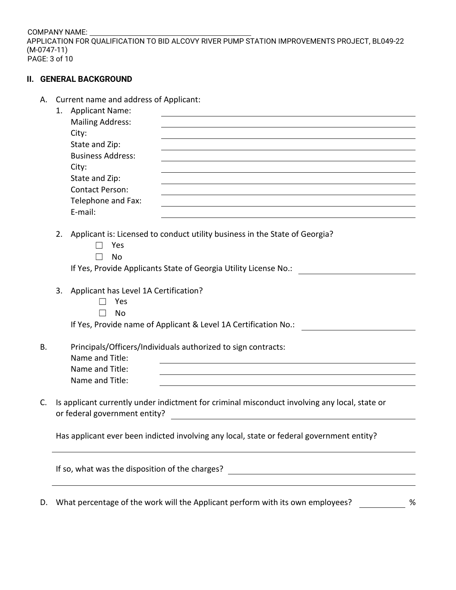COMPANY NAME: APPLICATION FOR QUALIFICATION TO BID ALCOVY RIVER PUMP STATION IMPROVEMENTS PROJECT, BL049-22 (M-0747-11) PAGE: 3 of 10

## **II. GENERAL BACKGROUND**

A. Current name and address of Applicant:

|    | 1.                                                                                                                                                                                                                                                     | <b>Applicant Name:</b>                                                                                                                                                  |  |  |  |  |  |  |
|----|--------------------------------------------------------------------------------------------------------------------------------------------------------------------------------------------------------------------------------------------------------|-------------------------------------------------------------------------------------------------------------------------------------------------------------------------|--|--|--|--|--|--|
|    |                                                                                                                                                                                                                                                        | <b>Mailing Address:</b>                                                                                                                                                 |  |  |  |  |  |  |
|    |                                                                                                                                                                                                                                                        | City:<br>State and Zip:                                                                                                                                                 |  |  |  |  |  |  |
|    |                                                                                                                                                                                                                                                        | <b>Business Address:</b>                                                                                                                                                |  |  |  |  |  |  |
|    |                                                                                                                                                                                                                                                        | City:                                                                                                                                                                   |  |  |  |  |  |  |
|    |                                                                                                                                                                                                                                                        | State and Zip:                                                                                                                                                          |  |  |  |  |  |  |
|    |                                                                                                                                                                                                                                                        | <b>Contact Person:</b>                                                                                                                                                  |  |  |  |  |  |  |
|    |                                                                                                                                                                                                                                                        |                                                                                                                                                                         |  |  |  |  |  |  |
|    |                                                                                                                                                                                                                                                        | Telephone and Fax:<br>and the control of the control of the control of the control of the control of the control of the control of the<br>E-mail:                       |  |  |  |  |  |  |
|    |                                                                                                                                                                                                                                                        |                                                                                                                                                                         |  |  |  |  |  |  |
|    | 2.                                                                                                                                                                                                                                                     | Applicant is: Licensed to conduct utility business in the State of Georgia?<br>Yes<br>No                                                                                |  |  |  |  |  |  |
|    |                                                                                                                                                                                                                                                        | If Yes, Provide Applicants State of Georgia Utility License No.:                                                                                                        |  |  |  |  |  |  |
|    |                                                                                                                                                                                                                                                        |                                                                                                                                                                         |  |  |  |  |  |  |
|    | Applicant has Level 1A Certification?<br>3.                                                                                                                                                                                                            |                                                                                                                                                                         |  |  |  |  |  |  |
|    |                                                                                                                                                                                                                                                        | Yes                                                                                                                                                                     |  |  |  |  |  |  |
|    |                                                                                                                                                                                                                                                        | <b>No</b>                                                                                                                                                               |  |  |  |  |  |  |
|    |                                                                                                                                                                                                                                                        | If Yes, Provide name of Applicant & Level 1A Certification No.:                                                                                                         |  |  |  |  |  |  |
|    |                                                                                                                                                                                                                                                        |                                                                                                                                                                         |  |  |  |  |  |  |
| В. |                                                                                                                                                                                                                                                        | Principals/Officers/Individuals authorized to sign contracts:                                                                                                           |  |  |  |  |  |  |
|    |                                                                                                                                                                                                                                                        | Name and Title:                                                                                                                                                         |  |  |  |  |  |  |
|    |                                                                                                                                                                                                                                                        | Name and Title:                                                                                                                                                         |  |  |  |  |  |  |
|    |                                                                                                                                                                                                                                                        | Name and Title:                                                                                                                                                         |  |  |  |  |  |  |
| C. | Is applicant currently under indictment for criminal misconduct involving any local, state or<br>or federal government entity?<br><u> 1980 - Jan Stein Stein Stein Stein Stein Stein Stein Stein Stein Stein Stein Stein Stein Stein Stein Stein S</u> |                                                                                                                                                                         |  |  |  |  |  |  |
|    | Has applicant ever been indicted involving any local, state or federal government entity?                                                                                                                                                              |                                                                                                                                                                         |  |  |  |  |  |  |
|    |                                                                                                                                                                                                                                                        | If so, what was the disposition of the charges?<br><u> 1980 - Johann Barn, mars ann an t-Amhain Aonaich an t-Aonaich an t-Aonaich ann an t-Aonaich ann an t-Aonaich</u> |  |  |  |  |  |  |
| D. |                                                                                                                                                                                                                                                        | What percentage of the work will the Applicant perform with its own employees?<br>%                                                                                     |  |  |  |  |  |  |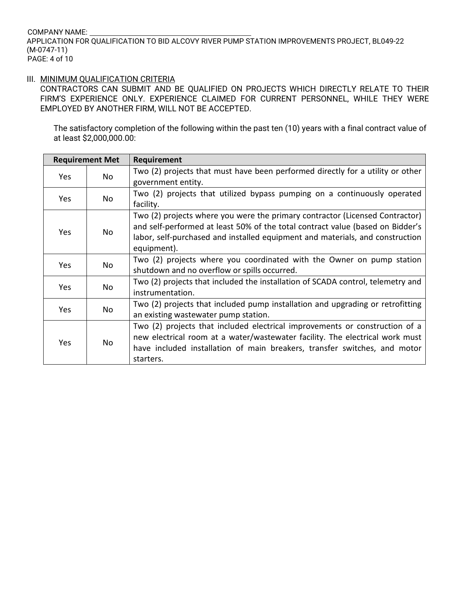## COMPANY NAME: APPLICATION FOR QUALIFICATION TO BID ALCOVY RIVER PUMP STATION IMPROVEMENTS PROJECT, BL049-22 (M-0747-11) PAGE: 4 of 10

## III. MINIMUM QUALIFICATION CRITERIA

CONTRACTORS CAN SUBMIT AND BE QUALIFIED ON PROJECTS WHICH DIRECTLY RELATE TO THEIR FIRM'S EXPERIENCE ONLY. EXPERIENCE CLAIMED FOR CURRENT PERSONNEL, WHILE THEY WERE EMPLOYED BY ANOTHER FIRM, WILL NOT BE ACCEPTED.

The satisfactory completion of the following within the past ten (10) years with a final contract value of at least \$2,000,000.00:

|                                                                                 |     | <b>Requirement</b>                                                              |
|---------------------------------------------------------------------------------|-----|---------------------------------------------------------------------------------|
|                                                                                 | No  | Two (2) projects that must have been performed directly for a utility or other  |
| <b>Requirement Met</b><br>Yes<br><b>Yes</b><br>Yes<br>Yes<br>Yes<br>Yes<br>Yes. |     | government entity.                                                              |
|                                                                                 |     | Two (2) projects that utilized bypass pumping on a continuously operated        |
|                                                                                 | No  | facility.                                                                       |
|                                                                                 |     | Two (2) projects where you were the primary contractor (Licensed Contractor)    |
|                                                                                 |     | and self-performed at least 50% of the total contract value (based on Bidder's  |
|                                                                                 | No. | labor, self-purchased and installed equipment and materials, and construction   |
|                                                                                 |     | equipment).                                                                     |
|                                                                                 | No  | Two (2) projects where you coordinated with the Owner on pump station           |
|                                                                                 |     | shutdown and no overflow or spills occurred.                                    |
|                                                                                 | No  | Two (2) projects that included the installation of SCADA control, telemetry and |
|                                                                                 |     | instrumentation.                                                                |
|                                                                                 | No  | Two (2) projects that included pump installation and upgrading or retrofitting  |
|                                                                                 |     | an existing wastewater pump station.                                            |
|                                                                                 | No. | Two (2) projects that included electrical improvements or construction of a     |
|                                                                                 |     | new electrical room at a water/wastewater facility. The electrical work must    |
|                                                                                 |     | have included installation of main breakers, transfer switches, and motor       |
|                                                                                 |     | starters.                                                                       |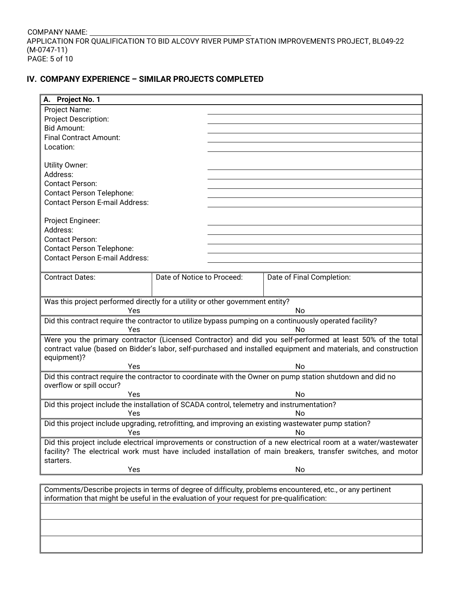COMPANY NAME: APPLICATION FOR QUALIFICATION TO BID ALCOVY RIVER PUMP STATION IMPROVEMENTS PROJECT, BL049-22 (M-0747-11) PAGE: 5 of 10

# **IV. COMPANY EXPERIENCE – SIMILAR PROJECTS COMPLETED**

| A. Project No. 1                                                                                          |                            |  |                                                                                                                 |  |  |  |
|-----------------------------------------------------------------------------------------------------------|----------------------------|--|-----------------------------------------------------------------------------------------------------------------|--|--|--|
| Project Name:                                                                                             |                            |  |                                                                                                                 |  |  |  |
| Project Description:                                                                                      |                            |  |                                                                                                                 |  |  |  |
| <b>Bid Amount:</b>                                                                                        |                            |  |                                                                                                                 |  |  |  |
| <b>Final Contract Amount:</b>                                                                             |                            |  |                                                                                                                 |  |  |  |
| Location:                                                                                                 |                            |  |                                                                                                                 |  |  |  |
|                                                                                                           |                            |  |                                                                                                                 |  |  |  |
| Utility Owner:                                                                                            |                            |  |                                                                                                                 |  |  |  |
| Address:                                                                                                  |                            |  |                                                                                                                 |  |  |  |
| <b>Contact Person:</b>                                                                                    |                            |  |                                                                                                                 |  |  |  |
| <b>Contact Person Telephone:</b>                                                                          |                            |  |                                                                                                                 |  |  |  |
| <b>Contact Person E-mail Address:</b>                                                                     |                            |  |                                                                                                                 |  |  |  |
|                                                                                                           |                            |  |                                                                                                                 |  |  |  |
| Project Engineer:                                                                                         |                            |  |                                                                                                                 |  |  |  |
| Address:                                                                                                  |                            |  |                                                                                                                 |  |  |  |
| <b>Contact Person:</b>                                                                                    |                            |  |                                                                                                                 |  |  |  |
| <b>Contact Person Telephone:</b>                                                                          |                            |  |                                                                                                                 |  |  |  |
| <b>Contact Person E-mail Address:</b>                                                                     |                            |  |                                                                                                                 |  |  |  |
|                                                                                                           |                            |  |                                                                                                                 |  |  |  |
| <b>Contract Dates:</b>                                                                                    | Date of Notice to Proceed: |  | Date of Final Completion:                                                                                       |  |  |  |
|                                                                                                           |                            |  |                                                                                                                 |  |  |  |
|                                                                                                           |                            |  |                                                                                                                 |  |  |  |
| Was this project performed directly for a utility or other government entity?                             |                            |  |                                                                                                                 |  |  |  |
| Yes                                                                                                       |                            |  | No                                                                                                              |  |  |  |
|                                                                                                           |                            |  | Did this contract require the contractor to utilize bypass pumping on a continuously operated facility?         |  |  |  |
| Yes                                                                                                       |                            |  | No                                                                                                              |  |  |  |
|                                                                                                           |                            |  | Were you the primary contractor (Licensed Contractor) and did you self-performed at least 50% of the total      |  |  |  |
|                                                                                                           |                            |  | contract value (based on Bidder's labor, self-purchased and installed equipment and materials, and construction |  |  |  |
| equipment)?                                                                                               |                            |  |                                                                                                                 |  |  |  |
| Yes                                                                                                       |                            |  | <b>No</b>                                                                                                       |  |  |  |
|                                                                                                           |                            |  | Did this contract require the contractor to coordinate with the Owner on pump station shutdown and did no       |  |  |  |
| overflow or spill occur?                                                                                  |                            |  |                                                                                                                 |  |  |  |
| Yes                                                                                                       |                            |  | <b>No</b>                                                                                                       |  |  |  |
| Did this project include the installation of SCADA control, telemetry and instrumentation?                |                            |  |                                                                                                                 |  |  |  |
| Yes                                                                                                       |                            |  | No                                                                                                              |  |  |  |
|                                                                                                           |                            |  | Did this project include upgrading, retrofitting, and improving an existing wastewater pump station?            |  |  |  |
| Yes                                                                                                       |                            |  | No                                                                                                              |  |  |  |
|                                                                                                           |                            |  | Did this project include electrical improvements or construction of a new electrical room at a water/wastewater |  |  |  |
|                                                                                                           |                            |  | facility? The electrical work must have included installation of main breakers, transfer switches, and motor    |  |  |  |
| starters.                                                                                                 |                            |  |                                                                                                                 |  |  |  |
| Yes                                                                                                       |                            |  | No                                                                                                              |  |  |  |
|                                                                                                           |                            |  |                                                                                                                 |  |  |  |
| Comments/Describe projects in terms of degree of difficulty, problems encountered, etc., or any pertinent |                            |  |                                                                                                                 |  |  |  |
| information that might be useful in the evaluation of your request for pre-qualification:                 |                            |  |                                                                                                                 |  |  |  |
|                                                                                                           |                            |  |                                                                                                                 |  |  |  |
|                                                                                                           |                            |  |                                                                                                                 |  |  |  |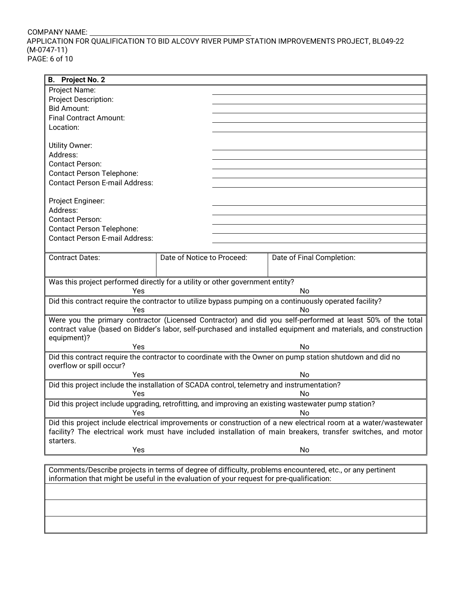## COMPANY NAME: APPLICATION FOR QUALIFICATION TO BID ALCOVY RIVER PUMP STATION IMPROVEMENTS PROJECT, BL049-22 (M-0747-11) PAGE: 6 of 10

| <b>B.</b> Project No. 2                                                                              |                            |                                                                                                                 |
|------------------------------------------------------------------------------------------------------|----------------------------|-----------------------------------------------------------------------------------------------------------------|
| Project Name:                                                                                        |                            |                                                                                                                 |
| Project Description:                                                                                 |                            |                                                                                                                 |
| <b>Bid Amount:</b>                                                                                   |                            |                                                                                                                 |
| <b>Final Contract Amount:</b>                                                                        |                            |                                                                                                                 |
| Location:                                                                                            |                            |                                                                                                                 |
|                                                                                                      |                            |                                                                                                                 |
| Utility Owner:                                                                                       |                            |                                                                                                                 |
| Address:                                                                                             |                            |                                                                                                                 |
| <b>Contact Person:</b>                                                                               |                            |                                                                                                                 |
| <b>Contact Person Telephone:</b>                                                                     |                            |                                                                                                                 |
| <b>Contact Person E-mail Address:</b>                                                                |                            |                                                                                                                 |
| Project Engineer:                                                                                    |                            |                                                                                                                 |
| Address:                                                                                             |                            |                                                                                                                 |
| <b>Contact Person:</b>                                                                               |                            |                                                                                                                 |
|                                                                                                      |                            |                                                                                                                 |
| <b>Contact Person Telephone:</b>                                                                     |                            |                                                                                                                 |
| <b>Contact Person E-mail Address:</b>                                                                |                            |                                                                                                                 |
|                                                                                                      |                            |                                                                                                                 |
| <b>Contract Dates:</b>                                                                               | Date of Notice to Proceed: | Date of Final Completion:                                                                                       |
|                                                                                                      |                            |                                                                                                                 |
| Was this project performed directly for a utility or other government entity?                        |                            |                                                                                                                 |
| Yes                                                                                                  |                            | No                                                                                                              |
|                                                                                                      |                            | Did this contract require the contractor to utilize bypass pumping on a continuously operated facility?         |
| Yes                                                                                                  |                            | No                                                                                                              |
|                                                                                                      |                            | Were you the primary contractor (Licensed Contractor) and did you self-performed at least 50% of the total      |
|                                                                                                      |                            | contract value (based on Bidder's labor, self-purchased and installed equipment and materials, and construction |
| equipment)?<br>Yes                                                                                   |                            | No                                                                                                              |
|                                                                                                      |                            | Did this contract require the contractor to coordinate with the Owner on pump station shutdown and did no       |
| overflow or spill occur?                                                                             |                            |                                                                                                                 |
| Yes                                                                                                  |                            | No                                                                                                              |
| Did this project include the installation of SCADA control, telemetry and instrumentation?           |                            |                                                                                                                 |
| Yes                                                                                                  |                            | No                                                                                                              |
| Did this project include upgrading, retrofitting, and improving an existing wastewater pump station? |                            |                                                                                                                 |
| Yes                                                                                                  |                            | Nο                                                                                                              |
|                                                                                                      |                            | Did this project include electrical improvements or construction of a new electrical room at a water/wastewater |
|                                                                                                      |                            | facility? The electrical work must have included installation of main breakers, transfer switches, and motor    |
| starters.                                                                                            |                            |                                                                                                                 |
| Yes                                                                                                  |                            | No                                                                                                              |
|                                                                                                      |                            |                                                                                                                 |

Comments/Describe projects in terms of degree of difficulty, problems encountered, etc., or any pertinent information that might be useful in the evaluation of your request for pre-qualification: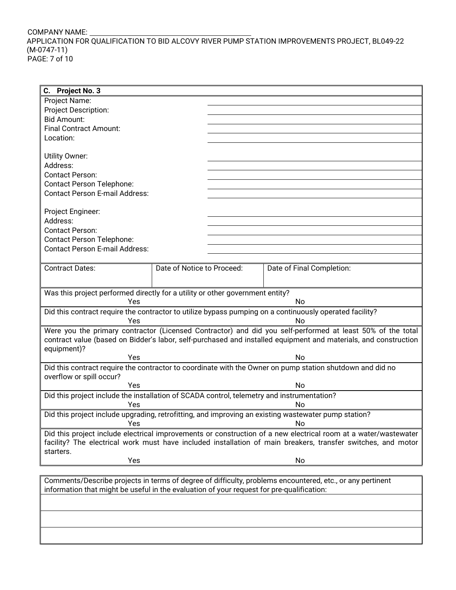## COMPANY NAME: APPLICATION FOR QUALIFICATION TO BID ALCOVY RIVER PUMP STATION IMPROVEMENTS PROJECT, BL049-22 (M-0747-11) PAGE: 7 of 10

| C. Project No. 3                                                                           |                            |                                                                                                                 |
|--------------------------------------------------------------------------------------------|----------------------------|-----------------------------------------------------------------------------------------------------------------|
| Project Name:                                                                              |                            |                                                                                                                 |
| Project Description:                                                                       |                            |                                                                                                                 |
| <b>Bid Amount:</b>                                                                         |                            |                                                                                                                 |
| <b>Final Contract Amount:</b>                                                              |                            |                                                                                                                 |
| Location:                                                                                  |                            |                                                                                                                 |
|                                                                                            |                            |                                                                                                                 |
|                                                                                            |                            |                                                                                                                 |
| <b>Utility Owner:</b>                                                                      |                            |                                                                                                                 |
| Address:                                                                                   |                            |                                                                                                                 |
| <b>Contact Person:</b>                                                                     |                            |                                                                                                                 |
| <b>Contact Person Telephone:</b>                                                           |                            |                                                                                                                 |
| <b>Contact Person E-mail Address:</b>                                                      |                            |                                                                                                                 |
|                                                                                            |                            |                                                                                                                 |
| Project Engineer:                                                                          |                            |                                                                                                                 |
| Address:                                                                                   |                            |                                                                                                                 |
| <b>Contact Person:</b>                                                                     |                            |                                                                                                                 |
|                                                                                            |                            |                                                                                                                 |
| <b>Contact Person Telephone:</b>                                                           |                            |                                                                                                                 |
| <b>Contact Person E-mail Address:</b>                                                      |                            |                                                                                                                 |
|                                                                                            |                            |                                                                                                                 |
| <b>Contract Dates:</b>                                                                     | Date of Notice to Proceed: | Date of Final Completion:                                                                                       |
|                                                                                            |                            |                                                                                                                 |
|                                                                                            |                            |                                                                                                                 |
| Was this project performed directly for a utility or other government entity?              |                            |                                                                                                                 |
| Yes                                                                                        |                            | No                                                                                                              |
|                                                                                            |                            | Did this contract require the contractor to utilize bypass pumping on a continuously operated facility?         |
| Yes                                                                                        |                            | No                                                                                                              |
|                                                                                            |                            | Were you the primary contractor (Licensed Contractor) and did you self-performed at least 50% of the total      |
|                                                                                            |                            | contract value (based on Bidder's labor, self-purchased and installed equipment and materials, and construction |
| equipment)?                                                                                |                            |                                                                                                                 |
| Yes                                                                                        |                            | No                                                                                                              |
|                                                                                            |                            | Did this contract require the contractor to coordinate with the Owner on pump station shutdown and did no       |
| overflow or spill occur?                                                                   |                            |                                                                                                                 |
| Yes                                                                                        |                            | No                                                                                                              |
|                                                                                            |                            |                                                                                                                 |
| Did this project include the installation of SCADA control, telemetry and instrumentation? |                            |                                                                                                                 |
| Yes                                                                                        |                            | No                                                                                                              |
|                                                                                            |                            | Did this project include upgrading, retrofitting, and improving an existing wastewater pump station?            |
| Yes                                                                                        |                            | No                                                                                                              |
|                                                                                            |                            | Did this project include electrical improvements or construction of a new electrical room at a water/wastewater |
|                                                                                            |                            | facility? The electrical work must have included installation of main breakers, transfer switches, and motor    |
| starters.                                                                                  |                            |                                                                                                                 |
| Yes                                                                                        |                            | No                                                                                                              |
|                                                                                            |                            |                                                                                                                 |
|                                                                                            |                            | Comments/Describe projects in terms of degree of difficulty, problems encountered, etc., or any pertinent       |
|                                                                                            |                            |                                                                                                                 |
| information that might be useful in the evaluation of your request for pre-qualification:  |                            |                                                                                                                 |
|                                                                                            |                            |                                                                                                                 |
|                                                                                            |                            |                                                                                                                 |
|                                                                                            |                            |                                                                                                                 |
|                                                                                            |                            |                                                                                                                 |
|                                                                                            |                            |                                                                                                                 |

L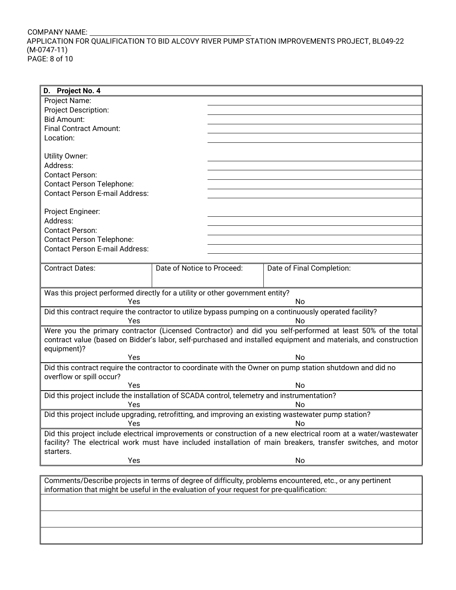## COMPANY NAME: APPLICATION FOR QUALIFICATION TO BID ALCOVY RIVER PUMP STATION IMPROVEMENTS PROJECT, BL049-22 (M-0747-11) PAGE: 8 of 10

| D. Project No. 4                                                                           |                            |                                                                                                                 |
|--------------------------------------------------------------------------------------------|----------------------------|-----------------------------------------------------------------------------------------------------------------|
| Project Name:                                                                              |                            |                                                                                                                 |
| Project Description:                                                                       |                            |                                                                                                                 |
| <b>Bid Amount:</b>                                                                         |                            |                                                                                                                 |
| <b>Final Contract Amount:</b>                                                              |                            |                                                                                                                 |
| Location:                                                                                  |                            |                                                                                                                 |
|                                                                                            |                            |                                                                                                                 |
| Utility Owner:                                                                             |                            |                                                                                                                 |
| Address:                                                                                   |                            |                                                                                                                 |
|                                                                                            |                            |                                                                                                                 |
| <b>Contact Person:</b>                                                                     |                            |                                                                                                                 |
| <b>Contact Person Telephone:</b>                                                           |                            |                                                                                                                 |
| <b>Contact Person E-mail Address:</b>                                                      |                            |                                                                                                                 |
|                                                                                            |                            |                                                                                                                 |
| Project Engineer:                                                                          |                            |                                                                                                                 |
| Address:                                                                                   |                            |                                                                                                                 |
| <b>Contact Person:</b>                                                                     |                            |                                                                                                                 |
| <b>Contact Person Telephone:</b>                                                           |                            |                                                                                                                 |
| <b>Contact Person E-mail Address:</b>                                                      |                            |                                                                                                                 |
|                                                                                            |                            |                                                                                                                 |
| <b>Contract Dates:</b>                                                                     | Date of Notice to Proceed: | Date of Final Completion:                                                                                       |
|                                                                                            |                            |                                                                                                                 |
|                                                                                            |                            |                                                                                                                 |
| Was this project performed directly for a utility or other government entity?              |                            |                                                                                                                 |
| Yes                                                                                        |                            | No                                                                                                              |
|                                                                                            |                            | Did this contract require the contractor to utilize bypass pumping on a continuously operated facility?         |
| Yes                                                                                        |                            | No                                                                                                              |
|                                                                                            |                            | Were you the primary contractor (Licensed Contractor) and did you self-performed at least 50% of the total      |
|                                                                                            |                            | contract value (based on Bidder's labor, self-purchased and installed equipment and materials, and construction |
| equipment)?                                                                                |                            |                                                                                                                 |
| Yes                                                                                        |                            | <b>No</b>                                                                                                       |
|                                                                                            |                            |                                                                                                                 |
|                                                                                            |                            | Did this contract require the contractor to coordinate with the Owner on pump station shutdown and did no       |
| overflow or spill occur?                                                                   |                            |                                                                                                                 |
| Yes                                                                                        |                            | No                                                                                                              |
| Did this project include the installation of SCADA control, telemetry and instrumentation? |                            |                                                                                                                 |
| Yes                                                                                        |                            | No                                                                                                              |
|                                                                                            |                            | Did this project include upgrading, retrofitting, and improving an existing wastewater pump station?            |
| Yes                                                                                        |                            | No                                                                                                              |
|                                                                                            |                            | Did this project include electrical improvements or construction of a new electrical room at a water/wastewater |
|                                                                                            |                            | facility? The electrical work must have included installation of main breakers, transfer switches, and motor    |
| starters.                                                                                  |                            |                                                                                                                 |
| Yes                                                                                        |                            | No                                                                                                              |
|                                                                                            |                            |                                                                                                                 |
|                                                                                            |                            | Comments/Describe projects in terms of degree of difficulty, problems encountered, etc., or any pertinent       |
|                                                                                            |                            |                                                                                                                 |
| information that might be useful in the evaluation of your request for pre-qualification:  |                            |                                                                                                                 |
|                                                                                            |                            |                                                                                                                 |
|                                                                                            |                            |                                                                                                                 |
|                                                                                            |                            |                                                                                                                 |
|                                                                                            |                            |                                                                                                                 |
|                                                                                            |                            |                                                                                                                 |

L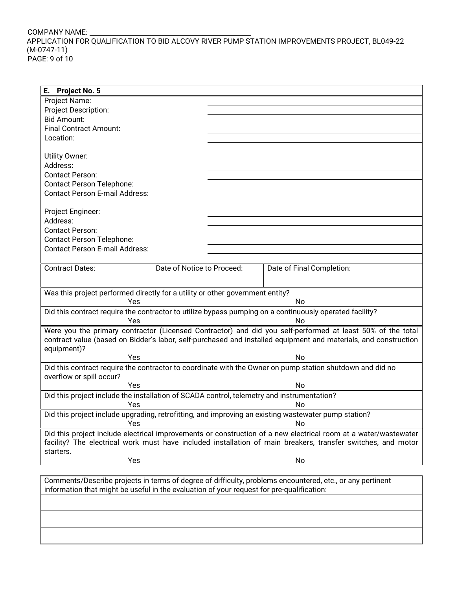## COMPANY NAME: APPLICATION FOR QUALIFICATION TO BID ALCOVY RIVER PUMP STATION IMPROVEMENTS PROJECT, BL049-22 (M-0747-11) PAGE: 9 of 10

| Е.<br><b>Project No. 5</b>                                                                 |                            |                                                                                                                 |
|--------------------------------------------------------------------------------------------|----------------------------|-----------------------------------------------------------------------------------------------------------------|
| Project Name:                                                                              |                            |                                                                                                                 |
| Project Description:                                                                       |                            |                                                                                                                 |
| <b>Bid Amount:</b>                                                                         |                            |                                                                                                                 |
| <b>Final Contract Amount:</b>                                                              |                            |                                                                                                                 |
| Location:                                                                                  |                            |                                                                                                                 |
|                                                                                            |                            |                                                                                                                 |
| Utility Owner:                                                                             |                            |                                                                                                                 |
| Address:                                                                                   |                            |                                                                                                                 |
|                                                                                            |                            |                                                                                                                 |
| <b>Contact Person:</b>                                                                     |                            |                                                                                                                 |
| <b>Contact Person Telephone:</b>                                                           |                            |                                                                                                                 |
| <b>Contact Person E-mail Address:</b>                                                      |                            |                                                                                                                 |
|                                                                                            |                            |                                                                                                                 |
| Project Engineer:                                                                          |                            |                                                                                                                 |
| Address:                                                                                   |                            |                                                                                                                 |
| <b>Contact Person:</b>                                                                     |                            |                                                                                                                 |
| <b>Contact Person Telephone:</b>                                                           |                            |                                                                                                                 |
| <b>Contact Person E-mail Address:</b>                                                      |                            |                                                                                                                 |
|                                                                                            |                            |                                                                                                                 |
| <b>Contract Dates:</b>                                                                     | Date of Notice to Proceed: | Date of Final Completion:                                                                                       |
|                                                                                            |                            |                                                                                                                 |
|                                                                                            |                            |                                                                                                                 |
| Was this project performed directly for a utility or other government entity?              |                            |                                                                                                                 |
| Yes                                                                                        |                            | No                                                                                                              |
|                                                                                            |                            | Did this contract require the contractor to utilize bypass pumping on a continuously operated facility?         |
| Yes                                                                                        |                            | No                                                                                                              |
|                                                                                            |                            | Were you the primary contractor (Licensed Contractor) and did you self-performed at least 50% of the total      |
|                                                                                            |                            | contract value (based on Bidder's labor, self-purchased and installed equipment and materials, and construction |
| equipment)?                                                                                |                            |                                                                                                                 |
| Yes                                                                                        |                            | <b>No</b>                                                                                                       |
|                                                                                            |                            |                                                                                                                 |
|                                                                                            |                            | Did this contract require the contractor to coordinate with the Owner on pump station shutdown and did no       |
| overflow or spill occur?                                                                   |                            |                                                                                                                 |
| Yes                                                                                        |                            | No                                                                                                              |
| Did this project include the installation of SCADA control, telemetry and instrumentation? |                            |                                                                                                                 |
| Yes                                                                                        |                            | No                                                                                                              |
|                                                                                            |                            | Did this project include upgrading, retrofitting, and improving an existing wastewater pump station?            |
| Yes                                                                                        |                            | No                                                                                                              |
|                                                                                            |                            | Did this project include electrical improvements or construction of a new electrical room at a water/wastewater |
|                                                                                            |                            | facility? The electrical work must have included installation of main breakers, transfer switches, and motor    |
| starters.                                                                                  |                            |                                                                                                                 |
| Yes                                                                                        |                            | No                                                                                                              |
|                                                                                            |                            |                                                                                                                 |
|                                                                                            |                            | Comments/Describe projects in terms of degree of difficulty, problems encountered, etc., or any pertinent       |
|                                                                                            |                            |                                                                                                                 |
| information that might be useful in the evaluation of your request for pre-qualification:  |                            |                                                                                                                 |
|                                                                                            |                            |                                                                                                                 |
|                                                                                            |                            |                                                                                                                 |
|                                                                                            |                            |                                                                                                                 |
|                                                                                            |                            |                                                                                                                 |
|                                                                                            |                            |                                                                                                                 |